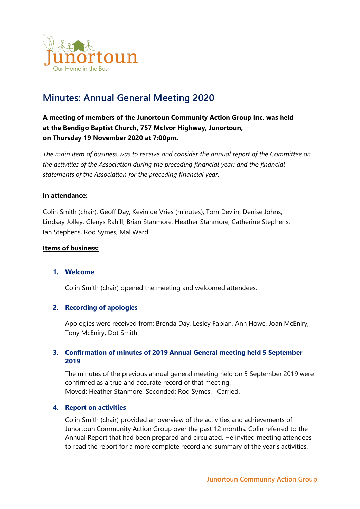

# **Minutes: Annual General Meeting 2020**

**A meeting of members of the Junortoun Community Action Group Inc. was held at the Bendigo Baptist Church, 757 McIvor Highway, Junortoun, on Thursday 19 November 2020 at 7:00pm.**

*The main item of business was to receive and consider the annual report of the Committee on the activities of the Association during the preceding financial year; and the financial statements of the Association for the preceding financial year.*

# **In attendance:**

Colin Smith (chair), Geoff Day, Kevin de Vries (minutes), Tom Devlin, Denise Johns, Lindsay Jolley, Glenys Rahill, Brian Stanmore, Heather Stanmore, Catherine Stephens, Ian Stephens, Rod Symes, Mal Ward

# **Items of business:**

## **1. Welcome**

Colin Smith (chair) opened the meeting and welcomed attendees.

## **2. Recording of apologies**

Apologies were received from: Brenda Day, Lesley Fabian, Ann Howe, Joan McEniry, Tony McEniry, Dot Smith.

# **3. Confirmation of minutes of 2019 Annual General meeting held 5 September 2019**

The minutes of the previous annual general meeting held on 5 September 2019 were confirmed as a true and accurate record of that meeting. Moved: Heather Stanmore, Seconded: Rod Symes. Carried.

## **4. Report on activities**

Colin Smith (chair) provided an overview of the activities and achievements of Junortoun Community Action Group over the past 12 months. Colin referred to the Annual Report that had been prepared and circulated. He invited meeting attendees to read the report for a more complete record and summary of the year's activities.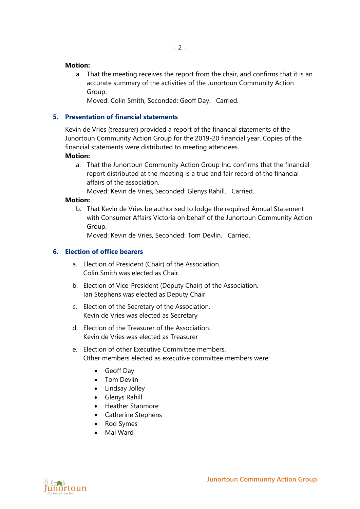## **Motion:**

a. That the meeting receives the report from the chair, and confirms that it is an accurate summary of the activities of the Junortoun Community Action Group.

Moved: Colin Smith, Seconded: Geoff Day. Carried.

# **5. Presentation of financial statements**

Kevin de Vries (treasurer) provided a report of the financial statements of the Junortoun Community Action Group for the 2019-20 financial year. Copies of the financial statements were distributed to meeting attendees.

# **Motion:**

a. That the Junortoun Community Action Group Inc. confirms that the financial report distributed at the meeting is a true and fair record of the financial affairs of the association.

Moved: Kevin de Vries, Seconded: Glenys Rahill. Carried.

## **Motion:**

b. That Kevin de Vries be authorised to lodge the required Annual Statement with Consumer Affairs Victoria on behalf of the Junortoun Community Action Group.

Moved: Kevin de Vries, Seconded: Tom Devlin. Carried.

# **6. Election of office bearers**

- a. Election of President (Chair) of the Association. Colin Smith was elected as Chair.
- b. Election of Vice-President (Deputy Chair) of the Association. Ian Stephens was elected as Deputy Chair
- c. Election of the Secretary of the Association. Kevin de Vries was elected as Secretary
- d. Election of the Treasurer of the Association. Kevin de Vries was elected as Treasurer
- e. Election of other Executive Committee members. Other members elected as executive committee members were:
	- Geoff Day
	- Tom Devlin
	- Lindsay Jolley
	- Glenys Rahill
	- Heather Stanmore
	- Catherine Stephens
	- Rod Symes
	- Mal Ward